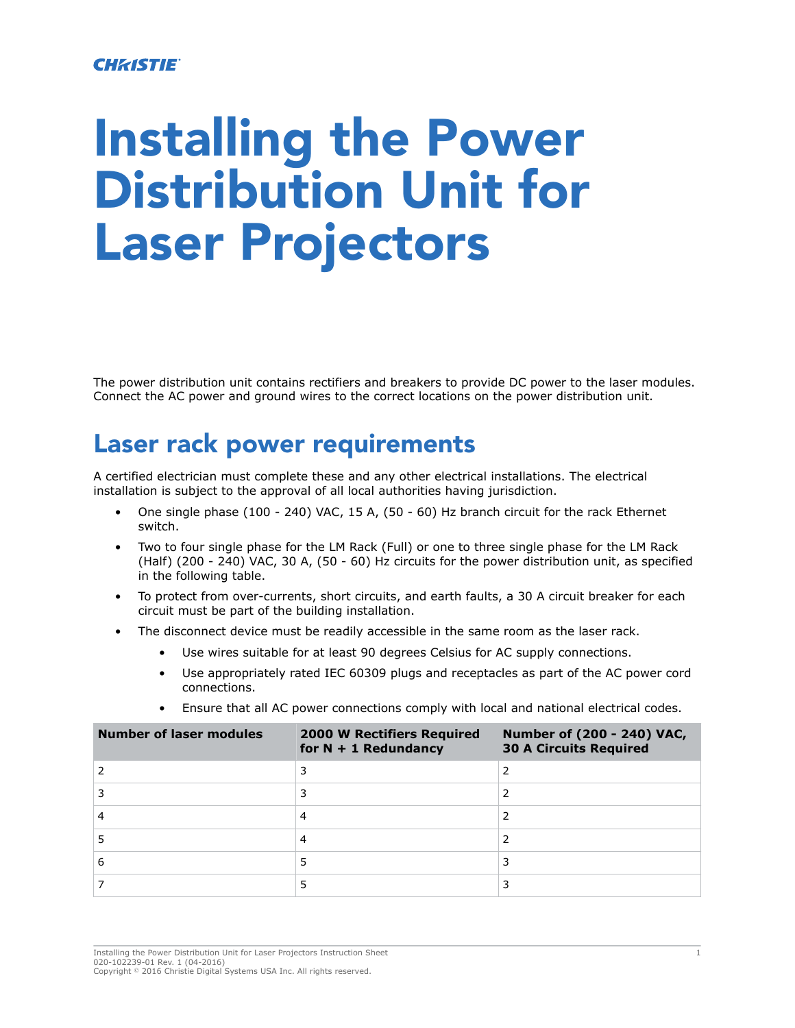#### **CHRISTIE**®

# Installing the Power Distribution Unit for Laser Projectors

The power distribution unit contains rectifiers and breakers to provide DC power to the laser modules. Connect the AC power and ground wires to the correct locations on the power distribution unit.

#### Laser rack power requirements

A certified electrician must complete these and any other electrical installations. The electrical installation is subject to the approval of all local authorities having jurisdiction.

- One single phase (100 240) VAC, 15 A, (50 60) Hz branch circuit for the rack Ethernet switch.
- Two to four single phase for the LM Rack (Full) or one to three single phase for the LM Rack (Half) (200 - 240) VAC, 30 A, (50 - 60) Hz circuits for the power distribution unit, as specified in the following table.
- To protect from over-currents, short circuits, and earth faults, a 30 A circuit breaker for each circuit must be part of the building installation.
- The disconnect device must be readily accessible in the same room as the laser rack.
	- Use wires suitable for at least 90 degrees Celsius for AC supply connections.
	- Use appropriately rated IEC 60309 plugs and receptacles as part of the AC power cord connections.
	- Ensure that all AC power connections comply with local and national electrical codes.

| <b>Number of laser modules</b> | <b>2000 W Rectifiers Required</b><br>for $N + 1$ Redundancy | Number of (200 - 240) VAC,<br><b>30 A Circuits Required</b> |
|--------------------------------|-------------------------------------------------------------|-------------------------------------------------------------|
|                                |                                                             |                                                             |
|                                |                                                             |                                                             |
|                                |                                                             |                                                             |
|                                |                                                             |                                                             |
| 6                              |                                                             |                                                             |
|                                |                                                             |                                                             |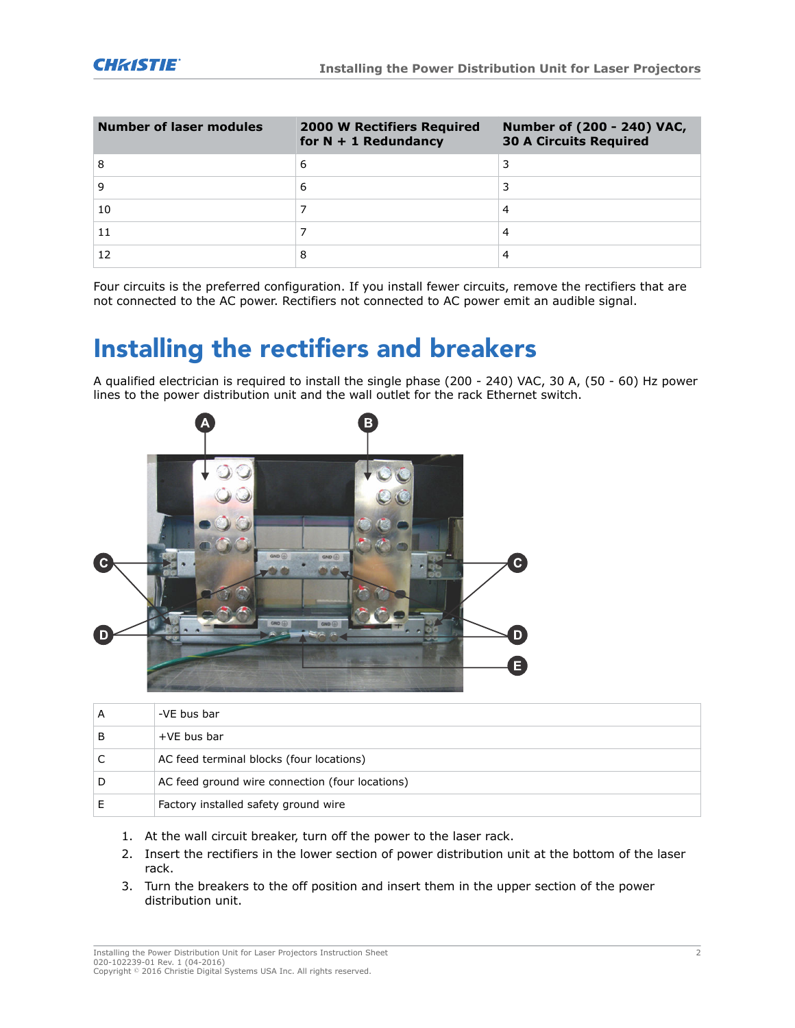| <b>Number of laser modules</b> | <b>2000 W Rectifiers Required</b><br>for $N + 1$ Redundancy | Number of (200 - 240) VAC,<br><b>30 A Circuits Required</b> |
|--------------------------------|-------------------------------------------------------------|-------------------------------------------------------------|
| 8                              | 6                                                           |                                                             |
|                                | 6                                                           |                                                             |
| 10                             |                                                             | 4                                                           |
|                                |                                                             | 4                                                           |
|                                |                                                             | 4                                                           |

Four circuits is the preferred configuration. If you install fewer circuits, remove the rectifiers that are not connected to the AC power. Rectifiers not connected to AC power emit an audible signal.

#### Installing the rectifiers and breakers

A qualified electrician is required to install the single phase (200 - 240) VAC, 30 A, (50 - 60) Hz power lines to the power distribution unit and the wall outlet for the rack Ethernet switch.



| А | -VE bus bar                                     |
|---|-------------------------------------------------|
| В | $+VE$ bus bar                                   |
|   | AC feed terminal blocks (four locations)        |
| D | AC feed ground wire connection (four locations) |
|   | Factory installed safety ground wire            |

- 1. At the wall circuit breaker, turn off the power to the laser rack.
- 2. Insert the rectifiers in the lower section of power distribution unit at the bottom of the laser rack.
- 3. Turn the breakers to the off position and insert them in the upper section of the power distribution unit.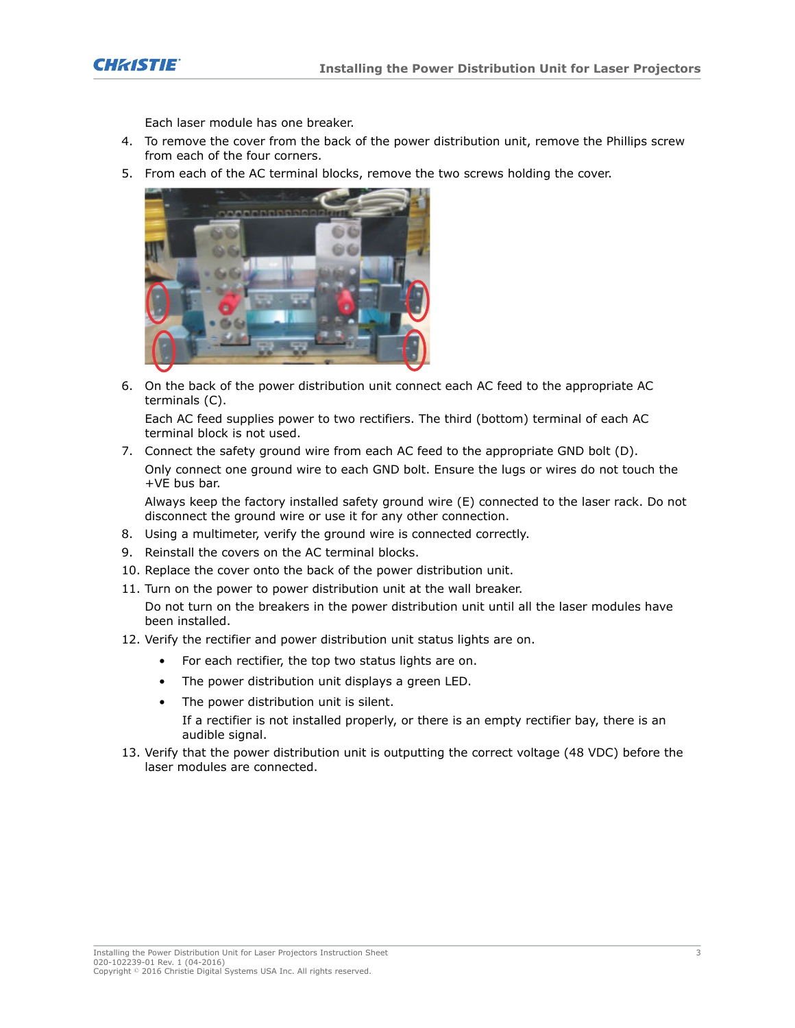

Each laser module has one breaker.

- 4. To remove the cover from the back of the power distribution unit, remove the Phillips screw from each of the four corners.
- 5. From each of the AC terminal blocks, remove the two screws holding the cover.



6. On the back of the power distribution unit connect each AC feed to the appropriate AC terminals (C).

Each AC feed supplies power to two rectifiers. The third (bottom) terminal of each AC terminal block is not used.

7. Connect the safety ground wire from each AC feed to the appropriate GND bolt (D). Only connect one ground wire to each GND bolt. Ensure the lugs or wires do not touch the +VE bus bar.

Always keep the factory installed safety ground wire (E) connected to the laser rack. Do not disconnect the ground wire or use it for any other connection.

- 8. Using a multimeter, verify the ground wire is connected correctly.
- 9. Reinstall the covers on the AC terminal blocks.
- 10. Replace the cover onto the back of the power distribution unit.
- 11. Turn on the power to power distribution unit at the wall breaker.

Do not turn on the breakers in the power distribution unit until all the laser modules have been installed.

- 12. Verify the rectifier and power distribution unit status lights are on.
	- For each rectifier, the top two status lights are on.
	- The power distribution unit displays a green LED.
	- The power distribution unit is silent. If a rectifier is not installed properly, or there is an empty rectifier bay, there is an audible signal.
- 13. Verify that the power distribution unit is outputting the correct voltage (48 VDC) before the laser modules are connected.